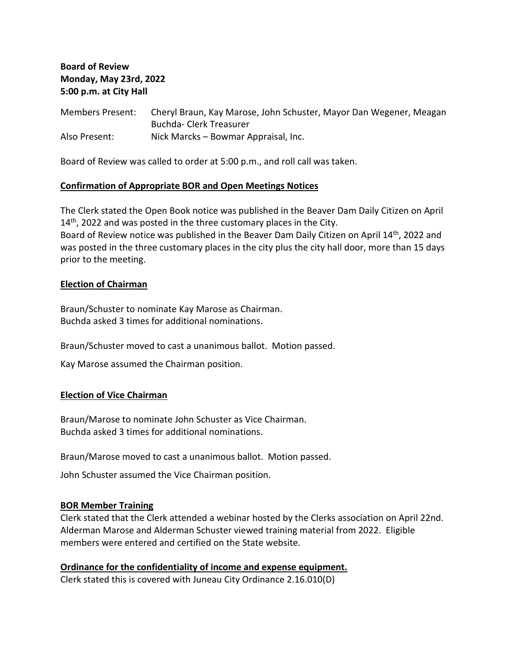**Board of Review Monday, May 23rd, 2022 5:00 p.m. at City Hall**

Members Present: Cheryl Braun, Kay Marose, John Schuster, Mayor Dan Wegener, Meagan Buchda- Clerk Treasurer Also Present: Nick Marcks – Bowmar Appraisal, Inc.

Board of Review was called to order at 5:00 p.m., and roll call was taken.

#### **Confirmation of Appropriate BOR and Open Meetings Notices**

The Clerk stated the Open Book notice was published in the Beaver Dam Daily Citizen on April  $14<sup>th</sup>$ , 2022 and was posted in the three customary places in the City. Board of Review notice was published in the Beaver Dam Daily Citizen on April 14<sup>th</sup>, 2022 and was posted in the three customary places in the city plus the city hall door, more than 15 days prior to the meeting.

#### **Election of Chairman**

Braun/Schuster to nominate Kay Marose as Chairman. Buchda asked 3 times for additional nominations.

Braun/Schuster moved to cast a unanimous ballot. Motion passed.

Kay Marose assumed the Chairman position.

#### **Election of Vice Chairman**

Braun/Marose to nominate John Schuster as Vice Chairman. Buchda asked 3 times for additional nominations.

Braun/Marose moved to cast a unanimous ballot. Motion passed.

John Schuster assumed the Vice Chairman position.

#### **BOR Member Training**

Clerk stated that the Clerk attended a webinar hosted by the Clerks association on April 22nd. Alderman Marose and Alderman Schuster viewed training material from 2022. Eligible members were entered and certified on the State website.

# **Ordinance for the confidentiality of income and expense equipment.**

Clerk stated this is covered with Juneau City Ordinance 2.16.010(D)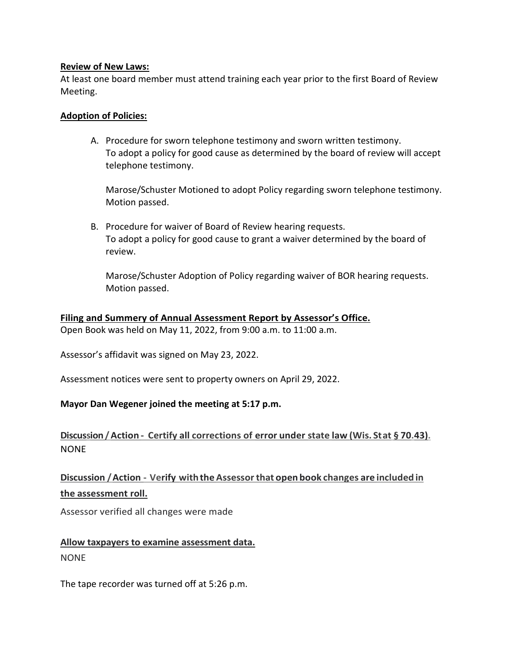## **Review of New Laws:**

At least one board member must attend training each year prior to the first Board of Review Meeting.

## **Adoption of Policies:**

A. Procedure for sworn telephone testimony and sworn written testimony. To adopt a policy for good cause as determined by the board of review will accept telephone testimony.

Marose/Schuster Motioned to adopt Policy regarding sworn telephone testimony. Motion passed.

B. Procedure for waiver of Board of Review hearing requests. To adopt a policy for good cause to grant a waiver determined by the board of review.

Marose/Schuster Adoption of Policy regarding waiver of BOR hearing requests. Motion passed.

## **Filing and Summery of Annual Assessment Report by Assessor's Office.**

Open Book was held on May 11, 2022, from 9:00 a.m. to 11:00 a.m.

Assessor's affidavit was signed on May 23, 2022.

Assessment notices were sent to property owners on April 29, 2022.

## **Mayor Dan Wegener joined the meeting at 5:17 p.m.**

# **Discussion/Action - Certify all corrections of error under state law (Wis. Stat § 70.43).** NONE

# **Discussion /Action - Verify withthe Assessorthat open book changes are included in the assessment roll.**

Assessor verified all changes were made

# **Allow taxpayers to examine assessment data.** NONE

The tape recorder was turned off at 5:26 p.m.